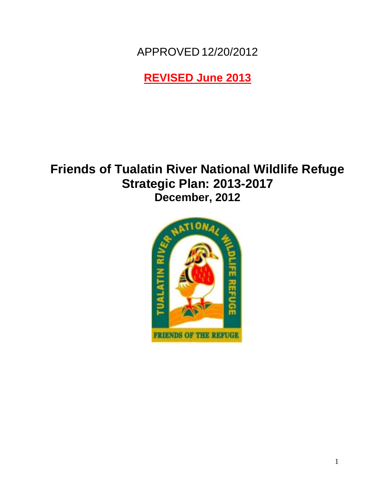APPROVED 12/20/2012

**REVISED June 2013**

# **Friends of Tualatin River National Wildlife Refuge Strategic Plan: 2013-2017 December, 2012**

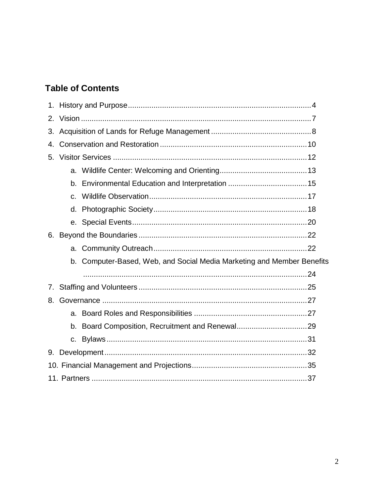# **Table of Contents**

| 2. |              |                                                                        |  |
|----|--------------|------------------------------------------------------------------------|--|
| 3. |              |                                                                        |  |
| 4. |              |                                                                        |  |
| 5. |              |                                                                        |  |
|    |              |                                                                        |  |
|    |              |                                                                        |  |
|    | $\mathsf{C}$ |                                                                        |  |
|    |              |                                                                        |  |
|    |              |                                                                        |  |
| 6. |              |                                                                        |  |
|    |              |                                                                        |  |
|    |              | b. Computer-Based, Web, and Social Media Marketing and Member Benefits |  |
|    |              |                                                                        |  |
| 7. |              |                                                                        |  |
| 8. |              |                                                                        |  |
|    |              |                                                                        |  |
|    |              |                                                                        |  |
|    |              |                                                                        |  |
| 9. |              |                                                                        |  |
|    |              |                                                                        |  |
|    |              |                                                                        |  |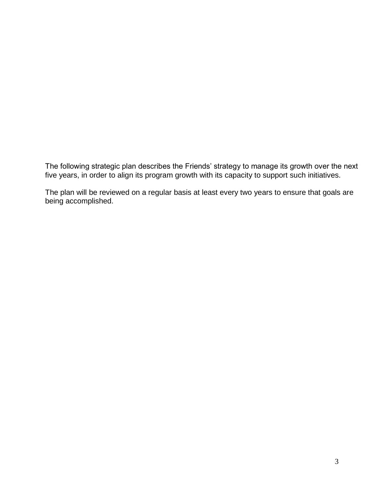The following strategic plan describes the Friends' strategy to manage its growth over the next five years, in order to align its program growth with its capacity to support such initiatives.

The plan will be reviewed on a regular basis at least every two years to ensure that goals are being accomplished.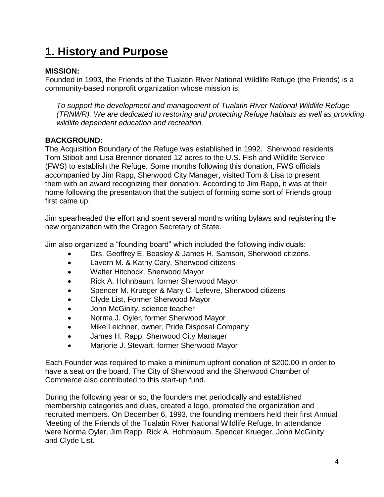# **1. History and Purpose**

### **MISSION:**

Founded in 1993, the Friends of the Tualatin River National Wildlife Refuge (the Friends) is a community-based nonprofit organization whose mission is:

*To support the development and management of Tualatin River National Wildlife Refuge (TRNWR). We are dedicated to restoring and protecting Refuge habitats as well as providing wildlife dependent education and recreation.*

### **BACKGROUND:**

The Acquisition Boundary of the Refuge was established in 1992. Sherwood residents Tom Stibolt and Lisa Brenner donated 12 acres to the U.S. Fish and Wildlife Service (FWS) to establish the Refuge. Some months following this donation, FWS officials accompanied by Jim Rapp, Sherwood City Manager, visited Tom & Lisa to present them with an award recognizing their donation. According to Jim Rapp, it was at their home following the presentation that the subject of forming some sort of Friends group first came up.

Jim spearheaded the effort and spent several months writing bylaws and registering the new organization with the Oregon Secretary of State.

Jim also organized a "founding board" which included the following individuals:

- Drs. Geoffrey E. Beasley & James H. Samson, Sherwood citizens.
- Lavern M. & Kathy Cary, Sherwood citizens
- Walter Hitchock, Sherwood Mayor
- Rick A. Hohnbaum, former Sherwood Mayor
- Spencer M. Krueger & Mary C. Lefevre, Sherwood citizens
- Clyde List, Former Sherwood Mayor
- John McGinity, science teacher
- Norma J. Oyler, former Sherwood Mayor
- Mike Leichner, owner, Pride Disposal Company
- James H. Rapp, Sherwood City Manager
- Marjorie J. Stewart, former Sherwood Mayor

Each Founder was required to make a minimum upfront donation of \$200.00 in order to have a seat on the board. The City of Sherwood and the Sherwood Chamber of Commerce also contributed to this start-up fund.

During the following year or so, the founders met periodically and established membership categories and dues, created a logo, promoted the organization and recruited members. On December 6, 1993, the founding members held their first Annual Meeting of the Friends of the Tualatin River National Wildlife Refuge. In attendance were Norma Oyler, Jim Rapp, Rick A. Hohmbaum, Spencer Krueger, John McGinity and Clyde List.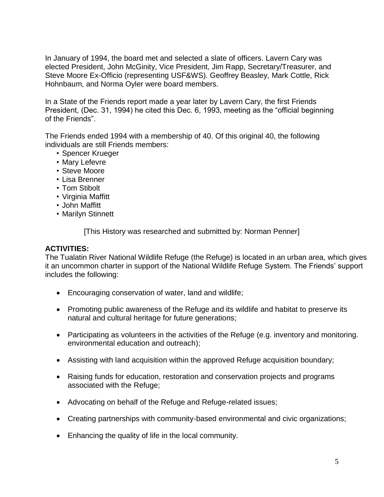In January of 1994, the board met and selected a slate of officers. Lavern Cary was elected President, John McGinity, Vice President, Jim Rapp, Secretary/Treasurer, and Steve Moore Ex-Officio (representing USF&WS). Geoffrey Beasley, Mark Cottle, Rick Hohnbaum, and Norma Oyler were board members.

In a State of the Friends report made a year later by Lavern Cary, the first Friends President, (Dec. 31, 1994) he cited this Dec. 6, 1993, meeting as the "official beginning of the Friends".

The Friends ended 1994 with a membership of 40. Of this original 40, the following individuals are still Friends members:

- Spencer Krueger
- Mary Lefevre
- Steve Moore
- Lisa Brenner
- Tom Stibolt
- Virginia Maffitt
- John Maffitt
- Marilyn Stinnett

[This History was researched and submitted by: Norman Penner]

#### **ACTIVITIES:**

The Tualatin River National Wildlife Refuge (the Refuge) is located in an urban area, which gives it an uncommon charter in support of the National Wildlife Refuge System. The Friends' support includes the following:

- Encouraging conservation of water, land and wildlife;
- Promoting public awareness of the Refuge and its wildlife and habitat to preserve its natural and cultural heritage for future generations;
- Participating as volunteers in the activities of the Refuge (e.g. inventory and monitoring. environmental education and outreach);
- Assisting with land acquisition within the approved Refuge acquisition boundary;
- Raising funds for education, restoration and conservation projects and programs associated with the Refuge;
- Advocating on behalf of the Refuge and Refuge-related issues;
- Creating partnerships with community-based environmental and civic organizations;
- Enhancing the quality of life in the local community.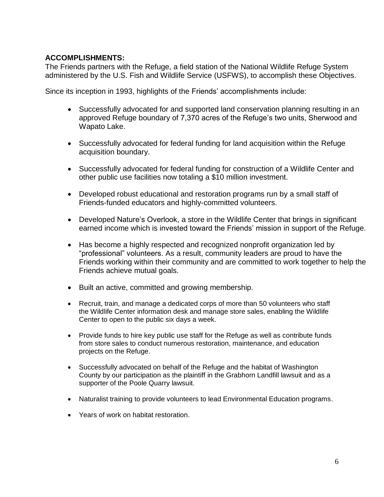#### **ACCOMPLISHMENTS:**

The Friends partners with the Refuge, a field station of the National Wildlife Refuge System administered by the U.S. Fish and Wildlife Service (USFWS), to accomplish these Objectives.

Since its inception in 1993, highlights of the Friends' accomplishments include:

- Successfully advocated for and supported land conservation planning resulting in an approved Refuge boundary of 7,370 acres of the Refuge's two units, Sherwood and Wapato Lake.
- Successfully advocated for federal funding for land acquisition within the Refuge acquisition boundary.
- Successfully advocated for federal funding for construction of a Wildlife Center and other public use facilities now totaling a \$10 million investment.
- Developed robust educational and restoration programs run by a small staff of Friends-funded educators and highly-committed volunteers.
- Developed Nature's Overlook, a store in the Wildlife Center that brings in significant earned income which is invested toward the Friends' mission in support of the Refuge.
- Has become a highly respected and recognized nonprofit organization led by "professional" volunteers. As a result, community leaders are proud to have the Friends working within their community and are committed to work together to help the Friends achieve mutual goals.
- Built an active, committed and growing membership.
- Recruit, train, and manage a dedicated corps of more than 50 volunteers who staff the Wildlife Center information desk and manage store sales, enabling the Wildlife Center to open to the public six days a week.
- Provide funds to hire key public use staff for the Refuge as well as contribute funds from store sales to conduct numerous restoration, maintenance, and education projects on the Refuge.
- Successfully advocated on behalf of the Refuge and the habitat of Washington County by our participation as the plaintiff in the Grabhorn Landfill lawsuit and as a supporter of the Poole Quarry lawsuit.
- Naturalist training to provide volunteers to lead Environmental Education programs.
- Years of work on habitat restoration.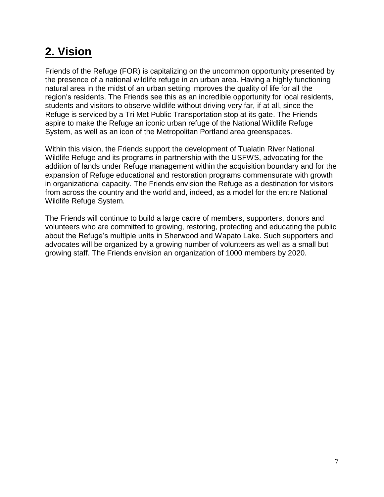# **2. Vision**

Friends of the Refuge (FOR) is capitalizing on the uncommon opportunity presented by the presence of a national wildlife refuge in an urban area. Having a highly functioning natural area in the midst of an urban setting improves the quality of life for all the region's residents. The Friends see this as an incredible opportunity for local residents, students and visitors to observe wildlife without driving very far, if at all, since the Refuge is serviced by a Tri Met Public Transportation stop at its gate. The Friends aspire to make the Refuge an iconic urban refuge of the National Wildlife Refuge System, as well as an icon of the Metropolitan Portland area greenspaces.

Within this vision, the Friends support the development of Tualatin River National Wildlife Refuge and its programs in partnership with the USFWS, advocating for the addition of lands under Refuge management within the acquisition boundary and for the expansion of Refuge educational and restoration programs commensurate with growth in organizational capacity. The Friends envision the Refuge as a destination for visitors from across the country and the world and, indeed, as a model for the entire National Wildlife Refuge System.

The Friends will continue to build a large cadre of members, supporters, donors and volunteers who are committed to growing, restoring, protecting and educating the public about the Refuge's multiple units in Sherwood and Wapato Lake. Such supporters and advocates will be organized by a growing number of volunteers as well as a small but growing staff. The Friends envision an organization of 1000 members by 2020.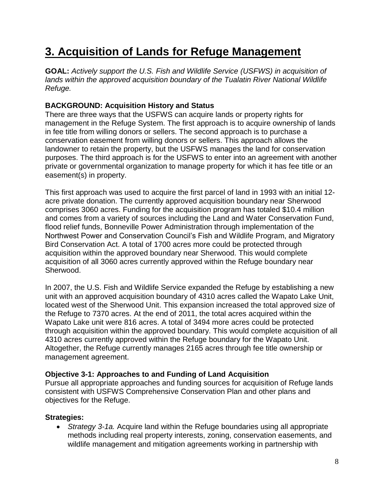# **3. Acquisition of Lands for Refuge Management**

**GOAL:** *Actively support the U.S. Fish and Wildlife Service (USFWS) in acquisition of lands within the approved acquisition boundary of the Tualatin River National Wildlife Refuge.*

### **BACKGROUND: Acquisition History and Status**

There are three ways that the USFWS can acquire lands or property rights for management in the Refuge System. The first approach is to acquire ownership of lands in fee title from willing donors or sellers. The second approach is to purchase a conservation easement from willing donors or sellers. This approach allows the landowner to retain the property, but the USFWS manages the land for conservation purposes. The third approach is for the USFWS to enter into an agreement with another private or governmental organization to manage property for which it has fee title or an easement(s) in property.

This first approach was used to acquire the first parcel of land in 1993 with an initial 12 acre private donation. The currently approved acquisition boundary near Sherwood comprises 3060 acres. Funding for the acquisition program has totaled \$10.4 million and comes from a variety of sources including the Land and Water Conservation Fund, flood relief funds, Bonneville Power Administration through implementation of the Northwest Power and Conservation Council's Fish and Wildlife Program, and Migratory Bird Conservation Act. A total of 1700 acres more could be protected through acquisition within the approved boundary near Sherwood. This would complete acquisition of all 3060 acres currently approved within the Refuge boundary near Sherwood.

In 2007, the U.S. Fish and Wildlife Service expanded the Refuge by establishing a new unit with an approved acquisition boundary of 4310 acres called the Wapato Lake Unit, located west of the Sherwood Unit. This expansion increased the total approved size of the Refuge to 7370 acres. At the end of 2011, the total acres acquired within the Wapato Lake unit were 816 acres. A total of 3494 more acres could be protected through acquisition within the approved boundary. This would complete acquisition of all 4310 acres currently approved within the Refuge boundary for the Wapato Unit. Altogether, the Refuge currently manages 2165 acres through fee title ownership or management agreement.

#### **Objective 3-1: Approaches to and Funding of Land Acquisition**

Pursue all appropriate approaches and funding sources for acquisition of Refuge lands consistent with USFWS Comprehensive Conservation Plan and other plans and objectives for the Refuge.

#### **Strategies:**

 *Strategy 3-1a.* Acquire land within the Refuge boundaries using all appropriate methods including real property interests, zoning, conservation easements, and wildlife management and mitigation agreements working in partnership with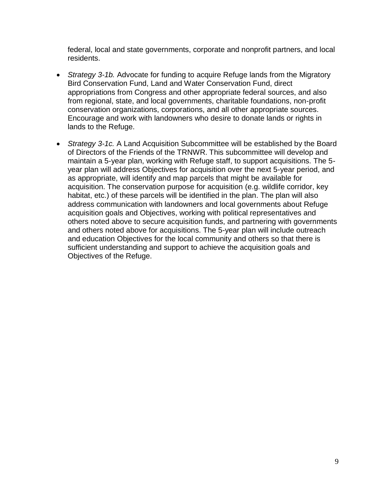federal, local and state governments, corporate and nonprofit partners, and local residents.

- *Strategy 3-1b.* Advocate for funding to acquire Refuge lands from the Migratory Bird Conservation Fund, Land and Water Conservation Fund, direct appropriations from Congress and other appropriate federal sources, and also from regional, state, and local governments, charitable foundations, non-profit conservation organizations, corporations, and all other appropriate sources. Encourage and work with landowners who desire to donate lands or rights in lands to the Refuge.
- *Strategy 3-1c.* A Land Acquisition Subcommittee will be established by the Board of Directors of the Friends of the TRNWR. This subcommittee will develop and maintain a 5-year plan, working with Refuge staff, to support acquisitions. The 5 year plan will address Objectives for acquisition over the next 5-year period, and as appropriate, will identify and map parcels that might be available for acquisition. The conservation purpose for acquisition (e.g. wildlife corridor, key habitat, etc.) of these parcels will be identified in the plan. The plan will also address communication with landowners and local governments about Refuge acquisition goals and Objectives, working with political representatives and others noted above to secure acquisition funds, and partnering with governments and others noted above for acquisitions. The 5-year plan will include outreach and education Objectives for the local community and others so that there is sufficient understanding and support to achieve the acquisition goals and Objectives of the Refuge.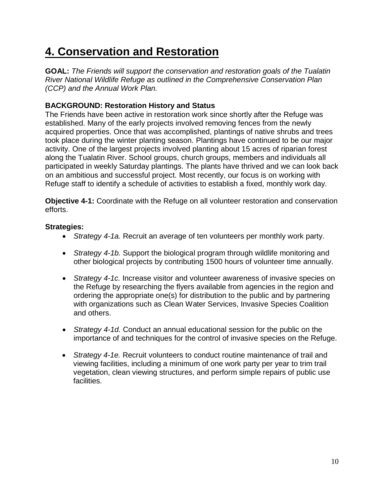# **4. Conservation and Restoration**

**GOAL:** *The Friends will support the conservation and restoration goals of the Tualatin River National Wildlife Refuge as outlined in the Comprehensive Conservation Plan (CCP) and the Annual Work Plan.*

### **BACKGROUND: Restoration History and Status**

The Friends have been active in restoration work since shortly after the Refuge was established. Many of the early projects involved removing fences from the newly acquired properties. Once that was accomplished, plantings of native shrubs and trees took place during the winter planting season. Plantings have continued to be our major activity. One of the largest projects involved planting about 15 acres of riparian forest along the Tualatin River. School groups, church groups, members and individuals all participated in weekly Saturday plantings. The plants have thrived and we can look back on an ambitious and successful project. Most recently, our focus is on working with Refuge staff to identify a schedule of activities to establish a fixed, monthly work day.

**Objective 4-1:** Coordinate with the Refuge on all volunteer restoration and conservation efforts.

- *Strategy 4-1a.* Recruit an average of ten volunteers per monthly work party.
- *Strategy 4-1b.* Support the biological program through wildlife monitoring and other biological projects by contributing 1500 hours of volunteer time annually.
- *Strategy 4-1c.* Increase visitor and volunteer awareness of invasive species on the Refuge by researching the flyers available from agencies in the region and ordering the appropriate one(s) for distribution to the public and by partnering with organizations such as Clean Water Services, Invasive Species Coalition and others.
- *Strategy 4-1d.* Conduct an annual educational session for the public on the importance of and techniques for the control of invasive species on the Refuge.
- *Strategy 4-1e.* Recruit volunteers to conduct routine maintenance of trail and viewing facilities, including a minimum of one work party per year to trim trail vegetation, clean viewing structures, and perform simple repairs of public use facilities.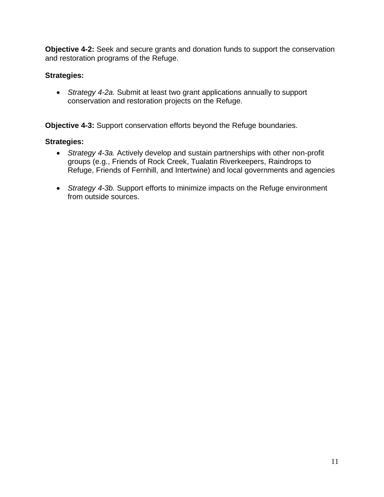**Objective 4-2:** Seek and secure grants and donation funds to support the conservation and restoration programs of the Refuge.

# **Strategies:**

 *Strategy 4-2a.* Submit at least two grant applications annually to support conservation and restoration projects on the Refuge.

**Objective 4-3:** Support conservation efforts beyond the Refuge boundaries.

- *Strategy 4-3a.* Actively develop and sustain partnerships with other non-profit groups (e.g., Friends of Rock Creek, Tualatin Riverkeepers, Raindrops to Refuge, Friends of Fernhill, and Intertwine) and local governments and agencies
- *Strategy 4-3b.* Support efforts to minimize impacts on the Refuge environment from outside sources.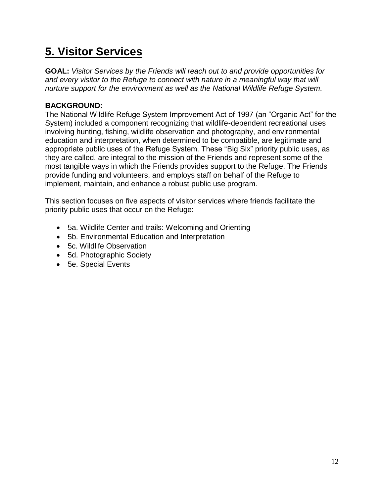# **5. Visitor Services**

**GOAL:** *Visitor Services by the Friends will reach out to and provide opportunities for and every visitor to the Refuge to connect with nature in a meaningful way that will nurture support for the environment as well as the National Wildlife Refuge System.*

### **BACKGROUND:**

The National Wildlife Refuge System Improvement Act of 1997 (an "Organic Act" for the System) included a component recognizing that wildlife-dependent recreational uses involving hunting, fishing, wildlife observation and photography, and environmental education and interpretation, when determined to be compatible, are legitimate and appropriate public uses of the Refuge System. These "Big Six" priority public uses, as they are called, are integral to the mission of the Friends and represent some of the most tangible ways in which the Friends provides support to the Refuge. The Friends provide funding and volunteers, and employs staff on behalf of the Refuge to implement, maintain, and enhance a robust public use program.

This section focuses on five aspects of visitor services where friends facilitate the priority public uses that occur on the Refuge:

- 5a. Wildlife Center and trails: Welcoming and Orienting
- 5b. Environmental Education and Interpretation
- 5c. Wildlife Observation
- 5d. Photographic Society
- 5e. Special Events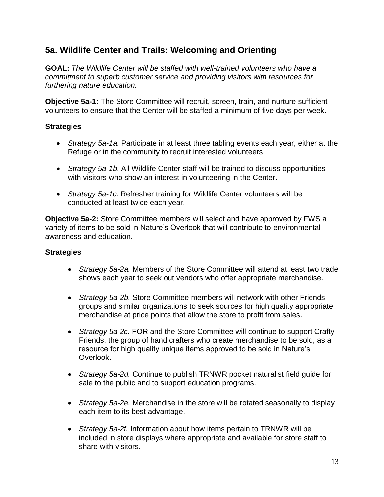# **5a. Wildlife Center and Trails: Welcoming and Orienting**

**GOAL:** *The Wildlife Center will be staffed with well-trained volunteers who have a commitment to superb customer service and providing visitors with resources for furthering nature education.*

**Objective 5a-1:** The Store Committee will recruit, screen, train, and nurture sufficient volunteers to ensure that the Center will be staffed a minimum of five days per week.

#### **Strategies**

- *Strategy 5a-1a.* Participate in at least three tabling events each year, either at the Refuge or in the community to recruit interested volunteers.
- *Strategy 5a-1b.* All Wildlife Center staff will be trained to discuss opportunities with visitors who show an interest in volunteering in the Center.
- *Strategy 5a-1c.* Refresher training for Wildlife Center volunteers will be conducted at least twice each year.

**Objective 5a-2:** Store Committee members will select and have approved by FWS a variety of items to be sold in Nature's Overlook that will contribute to environmental awareness and education.

- *Strategy 5a-2a.* Members of the Store Committee will attend at least two trade shows each year to seek out vendors who offer appropriate merchandise.
- *Strategy 5a-2b.* Store Committee members will network with other Friends groups and similar organizations to seek sources for high quality appropriate merchandise at price points that allow the store to profit from sales.
- *Strategy 5a-2c.* FOR and the Store Committee will continue to support Crafty Friends, the group of hand crafters who create merchandise to be sold, as a resource for high quality unique items approved to be sold in Nature's Overlook.
- *Strategy 5a-2d.* Continue to publish TRNWR pocket naturalist field guide for sale to the public and to support education programs.
- *Strategy 5a-2e.* Merchandise in the store will be rotated seasonally to display each item to its best advantage.
- *Strategy 5a-2f.* Information about how items pertain to TRNWR will be included in store displays where appropriate and available for store staff to share with visitors.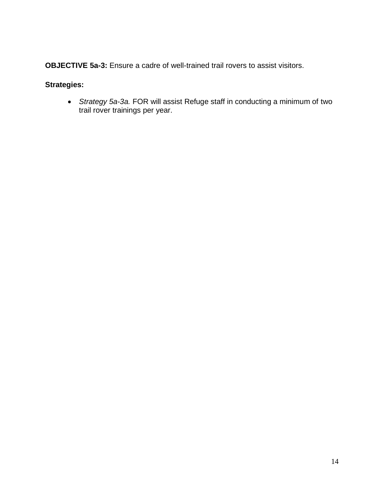**OBJECTIVE 5a-3:** Ensure a cadre of well-trained trail rovers to assist visitors.

# **Strategies:**

 *Strategy 5a-3a.* FOR will assist Refuge staff in conducting a minimum of two trail rover trainings per year.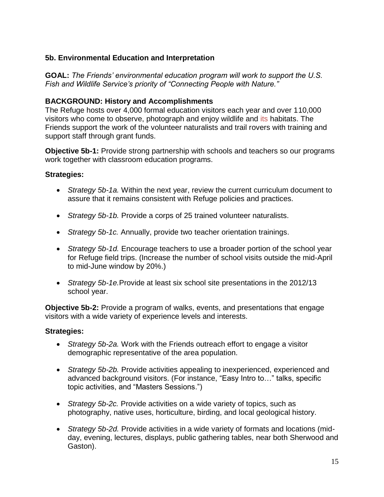### **5b. Environmental Education and Interpretation**

**GOAL:** *The Friends' environmental education program will work to support the U.S. Fish and Wildlife Service's priority of "Connecting People with Nature."*

#### **BACKGROUND: History and Accomplishments**

The Refuge hosts over 4,000 formal education visitors each year and over 110,000 visitors who come to observe, photograph and enjoy wildlife and its habitats. The Friends support the work of the volunteer naturalists and trail rovers with training and support staff through grant funds.

**Objective 5b-1:** Provide strong partnership with schools and teachers so our programs work together with classroom education programs.

#### **Strategies:**

- *Strategy 5b-1a.* Within the next year, review the current curriculum document to assure that it remains consistent with Refuge policies and practices.
- *Strategy 5b-1b.* Provide a corps of 25 trained volunteer naturalists.
- *Strategy 5b-1c.* Annually, provide two teacher orientation trainings.
- *Strategy 5b-1d.* Encourage teachers to use a broader portion of the school year for Refuge field trips. (Increase the number of school visits outside the mid-April to mid-June window by 20%.)
- *Strategy 5b-1e.*Provide at least six school site presentations in the 2012/13 school year.

**Objective 5b-2:** Provide a program of walks, events, and presentations that engage visitors with a wide variety of experience levels and interests.

- *Strategy 5b-2a.* Work with the Friends outreach effort to engage a visitor demographic representative of the area population.
- *Strategy 5b-2b.* Provide activities appealing to inexperienced, experienced and advanced background visitors. (For instance, "Easy Intro to…" talks, specific topic activities, and "Masters Sessions.")
- *Strategy 5b-2c.* Provide activities on a wide variety of topics, such as photography, native uses, horticulture, birding, and local geological history.
- *Strategy 5b-2d.* Provide activities in a wide variety of formats and locations (midday, evening, lectures, displays, public gathering tables, near both Sherwood and Gaston).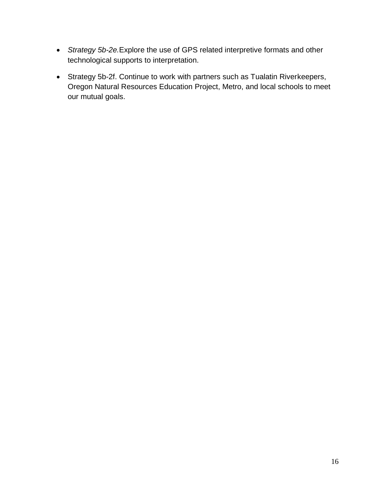- *Strategy 5b-2e.*Explore the use of GPS related interpretive formats and other technological supports to interpretation.
- Strategy 5b-2f. Continue to work with partners such as Tualatin Riverkeepers, Oregon Natural Resources Education Project, Metro, and local schools to meet our mutual goals.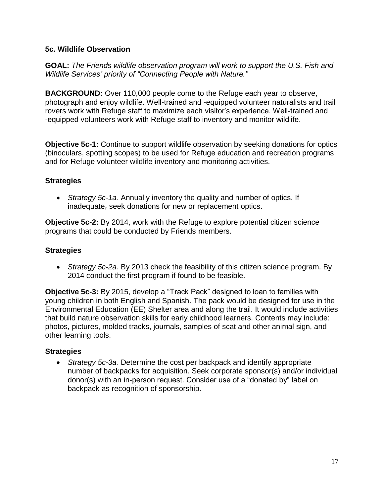#### **5c. Wildlife Observation**

**GOAL:** *The Friends wildlife observation program will work to support the U.S. Fish and Wildlife Services' priority of "Connecting People with Nature."*

**BACKGROUND:** Over 110,000 people come to the Refuge each year to observe, photograph and enjoy wildlife. Well-trained and -equipped volunteer naturalists and trail rovers work with Refuge staff to maximize each visitor's experience. Well-trained and -equipped volunteers work with Refuge staff to inventory and monitor wildlife.

**Objective 5c-1:** Continue to support wildlife observation by seeking donations for optics (binoculars, spotting scopes) to be used for Refuge education and recreation programs and for Refuge volunteer wildlife inventory and monitoring activities.

#### **Strategies**

 *Strategy 5c-1a.* Annually inventory the quality and number of optics. If inadequate, seek donations for new or replacement optics.

**Objective 5c-2:** By 2014, work with the Refuge to explore potential citizen science programs that could be conducted by Friends members.

# **Strategies**

 *Strategy 5c-2a.* By 2013 check the feasibility of this citizen science program. By 2014 conduct the first program if found to be feasible.

**Objective 5c-3:** By 2015, develop a "Track Pack" designed to loan to families with young children in both English and Spanish. The pack would be designed for use in the Environmental Education (EE) Shelter area and along the trail. It would include activities that build nature observation skills for early childhood learners. Contents may include: photos, pictures, molded tracks, journals, samples of scat and other animal sign, and other learning tools.

# **Strategies**

 *Strategy 5c-3a.* Determine the cost per backpack and identify appropriate number of backpacks for acquisition. Seek corporate sponsor(s) and/or individual donor(s) with an in-person request. Consider use of a "donated by" label on backpack as recognition of sponsorship.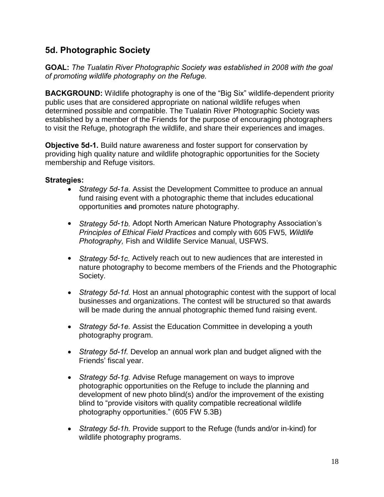# **5d. Photographic Society**

**GOAL:** *The Tualatin River Photographic Society was established in 2008 with the goal of promoting wildlife photography on the Refuge.*

**BACKGROUND:** Wildlife photography is one of the "Big Six" wildlife-dependent priority public uses that are considered appropriate on national wildlife refuges when determined possible and compatible. The Tualatin River Photographic Society was established by a member of the Friends for the purpose of encouraging photographers to visit the Refuge, photograph the wildlife, and share their experiences and images.

**Objective 5d-1.** Build nature awareness and foster support for conservation by providing high quality nature and wildlife photographic opportunities for the Society membership and Refuge visitors.

- *Strategy 5d-1a.* Assist the Development Committee to produce an annual fund raising event with a photographic theme that includes educational opportunities and promotes nature photography.
- *Strategy 5d-1b.* Adopt North American Nature Photography Association's *Principles of Ethical Field Practices* and comply with 605 FW5, *Wildlife Photography,* Fish and Wildlife Service Manual, USFWS.
- *Strategy 5d-1c.* Actively reach out to new audiences that are interested in nature photography to become members of the Friends and the Photographic Society.
- *Strategy 5d-1d.* Host an annual photographic contest with the support of local businesses and organizations. The contest will be structured so that awards will be made during the annual photographic themed fund raising event.
- *Strategy 5d-1e.* Assist the Education Committee in developing a youth photography program.
- *Strategy 5d-1f.* Develop an annual work plan and budget aligned with the Friends' fiscal year.
- *Strategy 5d-1g.* Advise Refuge management on ways to improve photographic opportunities on the Refuge to include the planning and development of new photo blind(s) and/or the improvement of the existing blind to "provide visitors with quality compatible recreational wildlife photography opportunities." (605 FW 5.3B)
- *Strategy 5d-1h.* Provide support to the Refuge (funds and/or in-kind) for wildlife photography programs.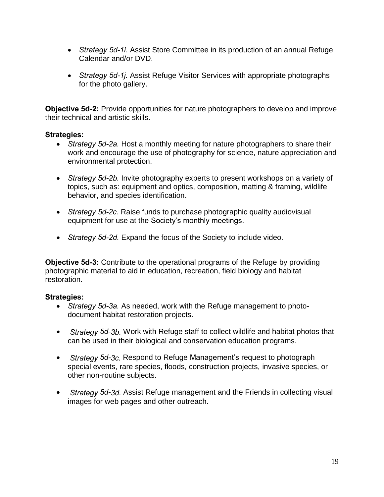- *Strategy 5d-1i.* Assist Store Committee in its production of an annual Refuge Calendar and/or DVD.
- *Strategy 5d-1j.* Assist Refuge Visitor Services with appropriate photographs for the photo gallery.

**Objective 5d-2:** Provide opportunities for nature photographers to develop and improve their technical and artistic skills.

#### **Strategies:**

- *Strategy 5d-2a.* Host a monthly meeting for nature photographers to share their work and encourage the use of photography for science, nature appreciation and environmental protection.
- *Strategy 5d-2b.* Invite photography experts to present workshops on a variety of topics, such as: equipment and optics, composition, matting & framing, wildlife behavior, and species identification.
- *Strategy 5d-2c.* Raise funds to purchase photographic quality audiovisual equipment for use at the Society's monthly meetings.
- *Strategy 5d-2d.* Expand the focus of the Society to include video.

**Objective 5d-3:** Contribute to the operational programs of the Refuge by providing photographic material to aid in education, recreation, field biology and habitat restoration.

- *Strategy 5d-3a.* As needed, work with the Refuge management to photodocument habitat restoration projects.
- *Strategy 5d-3b.* Work with Refuge staff to collect wildlife and habitat photos that can be used in their biological and conservation education programs.
- *Strategy 5d-3c.* Respond to Refuge Management's request to photograph special events, rare species, floods, construction projects, invasive species, or other non-routine subjects.
- *Strategy 5d-3d.* Assist Refuge management and the Friends in collecting visual images for web pages and other outreach.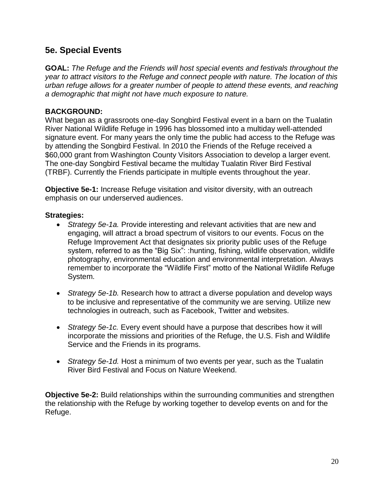# **5e. Special Events**

**GOAL:** *The Refuge and the Friends will host special events and festivals throughout the year to attract visitors to the Refuge and connect people with nature. The location of this urban refuge allows for a greater number of people to attend these events, and reaching a demographic that might not have much exposure to nature.*

#### **BACKGROUND:**

What began as a grassroots one-day Songbird Festival event in a barn on the Tualatin River National Wildlife Refuge in 1996 has blossomed into a multiday well-attended signature event. For many years the only time the public had access to the Refuge was by attending the Songbird Festival. In 2010 the Friends of the Refuge received a \$60,000 grant from Washington County Visitors Association to develop a larger event. The one-day Songbird Festival became the multiday Tualatin River Bird Festival (TRBF). Currently the Friends participate in multiple events throughout the year.

**Objective 5e-1:** Increase Refuge visitation and visitor diversity, with an outreach emphasis on our underserved audiences.

#### **Strategies:**

- *Strategy 5e-1a.* Provide interesting and relevant activities that are new and engaging, will attract a broad spectrum of visitors to our events. Focus on the Refuge Improvement Act that designates six priority public uses of the Refuge system, referred to as the "Big Six": :hunting, fishing, wildlife observation, wildlife photography, environmental education and environmental interpretation. Always remember to incorporate the "Wildlife First" motto of the National Wildlife Refuge System.
- *Strategy 5e-1b.* Research how to attract a diverse population and develop ways to be inclusive and representative of the community we are serving. Utilize new technologies in outreach, such as Facebook, Twitter and websites.
- *Strategy 5e-1c.* Every event should have a purpose that describes how it will incorporate the missions and priorities of the Refuge, the U.S. Fish and Wildlife Service and the Friends in its programs.
- *Strategy 5e-1d.* Host a minimum of two events per year, such as the Tualatin River Bird Festival and Focus on Nature Weekend.

**Objective 5e-2:** Build relationships within the surrounding communities and strengthen the relationship with the Refuge by working together to develop events on and for the Refuge.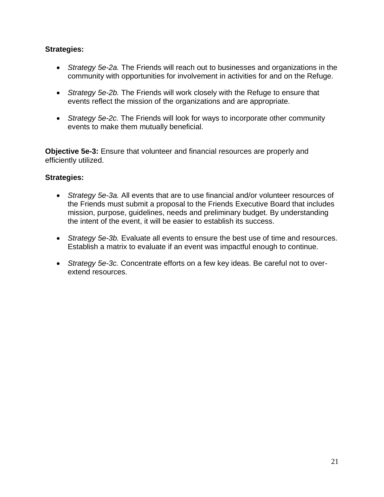#### **Strategies:**

- *Strategy 5e-2a.* The Friends will reach out to businesses and organizations in the community with opportunities for involvement in activities for and on the Refuge.
- *Strategy 5e-2b.* The Friends will work closely with the Refuge to ensure that events reflect the mission of the organizations and are appropriate.
- *Strategy 5e-2c.* The Friends will look for ways to incorporate other community events to make them mutually beneficial.

**Objective 5e-3:** Ensure that volunteer and financial resources are properly and efficiently utilized.

- *Strategy 5e-3a.* All events that are to use financial and/or volunteer resources of the Friends must submit a proposal to the Friends Executive Board that includes mission, purpose, guidelines, needs and preliminary budget. By understanding the intent of the event, it will be easier to establish its success.
- *Strategy 5e-3b.* Evaluate all events to ensure the best use of time and resources. Establish a matrix to evaluate if an event was impactful enough to continue.
- *Strategy 5e-3c.* Concentrate efforts on a few key ideas. Be careful not to overextend resources.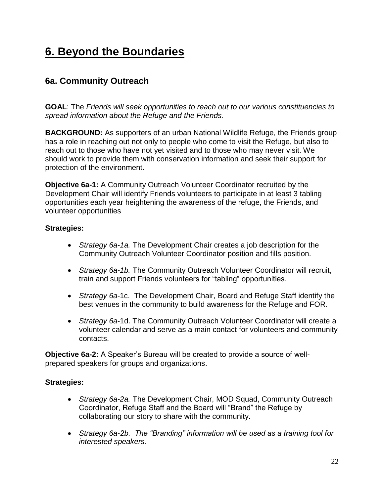# **6. Beyond the Boundaries**

# **6a. Community Outreach**

**GOAL**: The *Friends will seek opportunities to reach out to our various constituencies to spread information about the Refuge and the Friends.*

**BACKGROUND:** As supporters of an urban National Wildlife Refuge, the Friends group has a role in reaching out not only to people who come to visit the Refuge, but also to reach out to those who have not yet visited and to those who may never visit. We should work to provide them with conservation information and seek their support for protection of the environment.

**Objective 6a-1:** A Community Outreach Volunteer Coordinator recruited by the Development Chair will identify Friends volunteers to participate in at least 3 tabling opportunities each year heightening the awareness of the refuge, the Friends, and volunteer opportunities

#### **Strategies:**

- *Strategy 6a-1a.* The Development Chair creates a job description for the Community Outreach Volunteer Coordinator position and fills position.
- *Strategy 6a-1b.* The Community Outreach Volunteer Coordinator will recruit, train and support Friends volunteers for "tabling" opportunities.
- *Strategy 6a-*1c. The Development Chair, Board and Refuge Staff identify the best venues in the community to build awareness for the Refuge and FOR.
- *Strategy 6a-*1d. The Community Outreach Volunteer Coordinator will create a volunteer calendar and serve as a main contact for volunteers and community contacts.

**Objective 6a-2:** A Speaker's Bureau will be created to provide a source of wellprepared speakers for groups and organizations.

- *Strategy 6a-2a.* The Development Chair, MOD Squad, Community Outreach Coordinator, Refuge Staff and the Board will "Brand" the Refuge by collaborating our story to share with the community.
- *Strategy 6a-2b. The "Branding" information will be used as a training tool for interested speakers.*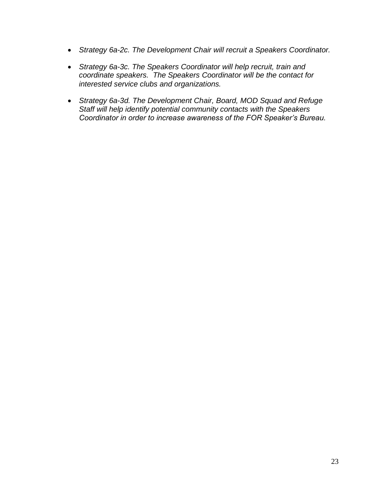- *Strategy 6a-2c. The Development Chair will recruit a Speakers Coordinator.*
- *Strategy 6a-3c. The Speakers Coordinator will help recruit, train and coordinate speakers. The Speakers Coordinator will be the contact for interested service clubs and organizations.*
- *Strategy 6a-3d. The Development Chair, Board, MOD Squad and Refuge Staff will help identify potential community contacts with the Speakers Coordinator in order to increase awareness of the FOR Speaker's Bureau.*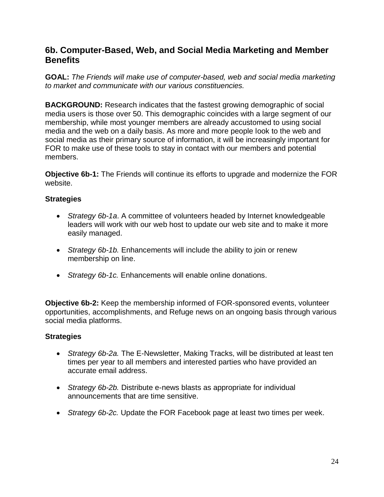# **6b. Computer-Based, Web, and Social Media Marketing and Member Benefits**

**GOAL:** *The Friends will make use of computer-based, web and social media marketing to market and communicate with our various constituencies.*

**BACKGROUND:** Research indicates that the fastest growing demographic of social media users is those over 50. This demographic coincides with a large segment of our membership, while most younger members are already accustomed to using social media and the web on a daily basis. As more and more people look to the web and social media as their primary source of information, it will be increasingly important for FOR to make use of these tools to stay in contact with our members and potential members.

**Objective 6b-1:** The Friends will continue its efforts to upgrade and modernize the FOR website.

### **Strategies**

- *Strategy 6b-1a*. A committee of volunteers headed by Internet knowledgeable leaders will work with our web host to update our web site and to make it more easily managed.
- *Strategy 6b-1b.* Enhancements will include the ability to join or renew membership on line.
- *Strategy 6b-1c.* Enhancements will enable online donations.

**Objective 6b-2:** Keep the membership informed of FOR-sponsored events, volunteer opportunities, accomplishments, and Refuge news on an ongoing basis through various social media platforms.

- *Strategy 6b-2a.* The E-Newsletter, Making Tracks, will be distributed at least ten times per year to all members and interested parties who have provided an accurate email address.
- *Strategy 6b-2b.* Distribute e-news blasts as appropriate for individual announcements that are time sensitive.
- *Strategy 6b-2c.* Update the FOR Facebook page at least two times per week.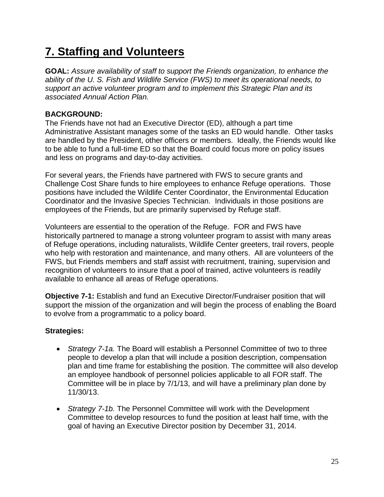# **7. Staffing and Volunteers**

**GOAL:** *Assure availability of staff to support the Friends organization, to enhance the ability of the U. S. Fish and Wildlife Service (FWS) to meet its operational needs, to support an active volunteer program and to implement this Strategic Plan and its associated Annual Action Plan.*

### **BACKGROUND:**

The Friends have not had an Executive Director (ED), although a part time Administrative Assistant manages some of the tasks an ED would handle. Other tasks are handled by the President, other officers or members. Ideally, the Friends would like to be able to fund a full-time ED so that the Board could focus more on policy issues and less on programs and day-to-day activities.

For several years, the Friends have partnered with FWS to secure grants and Challenge Cost Share funds to hire employees to enhance Refuge operations. Those positions have included the Wildlife Center Coordinator, the Environmental Education Coordinator and the Invasive Species Technician. Individuals in those positions are employees of the Friends, but are primarily supervised by Refuge staff.

Volunteers are essential to the operation of the Refuge. FOR and FWS have historically partnered to manage a strong volunteer program to assist with many areas of Refuge operations, including naturalists, Wildlife Center greeters, trail rovers, people who help with restoration and maintenance, and many others. All are volunteers of the FWS, but Friends members and staff assist with recruitment, training, supervision and recognition of volunteers to insure that a pool of trained, active volunteers is readily available to enhance all areas of Refuge operations.

**Objective 7-1:** Establish and fund an Executive Director/Fundraiser position that will support the mission of the organization and will begin the process of enabling the Board to evolve from a programmatic to a policy board.

- *Strategy 7-1a.* The Board will establish a Personnel Committee of two to three people to develop a plan that will include a position description, compensation plan and time frame for establishing the position. The committee will also develop an employee handbook of personnel policies applicable to all FOR staff. The Committee will be in place by 7/1/13, and will have a preliminary plan done by 11/30/13.
- *Strategy 7-1b.* The Personnel Committee will work with the Development Committee to develop resources to fund the position at least half time, with the goal of having an Executive Director position by December 31, 2014.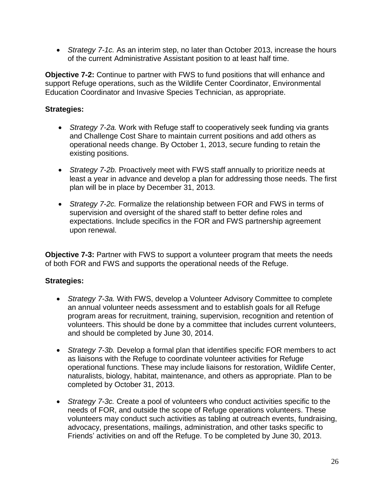*Strategy 7-1c.* As an interim step, no later than October 2013, increase the hours of the current Administrative Assistant position to at least half time.

**Objective 7-2:** Continue to partner with FWS to fund positions that will enhance and support Refuge operations, such as the Wildlife Center Coordinator, Environmental Education Coordinator and Invasive Species Technician, as appropriate.

#### **Strategies:**

- *Strategy 7-2a.* Work with Refuge staff to cooperatively seek funding via grants and Challenge Cost Share to maintain current positions and add others as operational needs change. By October 1, 2013, secure funding to retain the existing positions.
- *Strategy 7-2b.* Proactively meet with FWS staff annually to prioritize needs at least a year in advance and develop a plan for addressing those needs. The first plan will be in place by December 31, 2013.
- *Strategy 7-2c.* Formalize the relationship between FOR and FWS in terms of supervision and oversight of the shared staff to better define roles and expectations. Include specifics in the FOR and FWS partnership agreement upon renewal.

**Objective 7-3:** Partner with FWS to support a volunteer program that meets the needs of both FOR and FWS and supports the operational needs of the Refuge.

- *Strategy 7-3a.* With FWS, develop a Volunteer Advisory Committee to complete an annual volunteer needs assessment and to establish goals for all Refuge program areas for recruitment, training, supervision, recognition and retention of volunteers. This should be done by a committee that includes current volunteers, and should be completed by June 30, 2014.
- *Strategy 7-3b.* Develop a formal plan that identifies specific FOR members to act as liaisons with the Refuge to coordinate volunteer activities for Refuge operational functions. These may include liaisons for restoration, Wildlife Center, naturalists, biology, habitat, maintenance, and others as appropriate. Plan to be completed by October 31, 2013.
- *Strategy 7-3c.* Create a pool of volunteers who conduct activities specific to the needs of FOR, and outside the scope of Refuge operations volunteers. These volunteers may conduct such activities as tabling at outreach events, fundraising, advocacy, presentations, mailings, administration, and other tasks specific to Friends' activities on and off the Refuge. To be completed by June 30, 2013.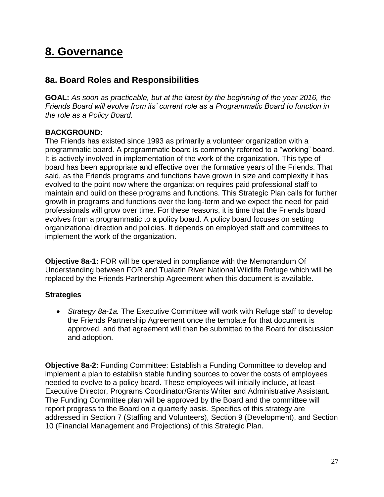# **8. Governance**

# **8a. Board Roles and Responsibilities**

**GOAL:** *As soon as practicable, but at the latest by the beginning of the year 2016, the Friends Board will evolve from its' current role as a Programmatic Board to function in the role as a Policy Board.* 

#### **BACKGROUND:**

The Friends has existed since 1993 as primarily a volunteer organization with a programmatic board. A programmatic board is commonly referred to a "working" board. It is actively involved in implementation of the work of the organization. This type of board has been appropriate and effective over the formative years of the Friends. That said, as the Friends programs and functions have grown in size and complexity it has evolved to the point now where the organization requires paid professional staff to maintain and build on these programs and functions. This Strategic Plan calls for further growth in programs and functions over the long-term and we expect the need for paid professionals will grow over time. For these reasons, it is time that the Friends board evolves from a programmatic to a policy board. A policy board focuses on setting organizational direction and policies. It depends on employed staff and committees to implement the work of the organization.

**Objective 8a-1:** FOR will be operated in compliance with the Memorandum Of Understanding between FOR and Tualatin River National Wildlife Refuge which will be replaced by the Friends Partnership Agreement when this document is available.

#### **Strategies**

 *Strategy 8a-1a.* The Executive Committee will work with Refuge staff to develop the Friends Partnership Agreement once the template for that document is approved, and that agreement will then be submitted to the Board for discussion and adoption.

**Objective 8a-2:** Funding Committee: Establish a Funding Committee to develop and implement a plan to establish stable funding sources to cover the costs of employees needed to evolve to a policy board. These employees will initially include, at least – Executive Director, Programs Coordinator/Grants Writer and Administrative Assistant. The Funding Committee plan will be approved by the Board and the committee will report progress to the Board on a quarterly basis. Specifics of this strategy are addressed in Section 7 (Staffing and Volunteers), Section 9 (Development), and Section 10 (Financial Management and Projections) of this Strategic Plan.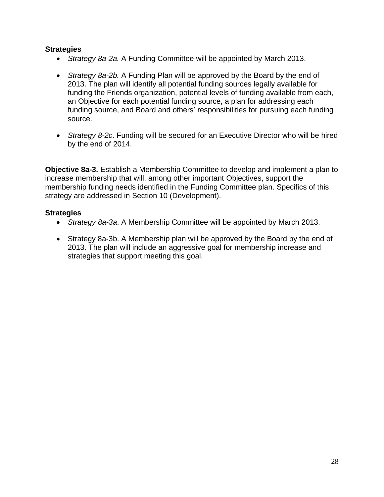#### **Strategies**

- *Strategy 8a-2a.* A Funding Committee will be appointed by March 2013.
- *Strategy 8a-2b.* A Funding Plan will be approved by the Board by the end of 2013. The plan will identify all potential funding sources legally available for funding the Friends organization, potential levels of funding available from each, an Objective for each potential funding source, a plan for addressing each funding source, and Board and others' responsibilities for pursuing each funding source.
- *Strategy 8-2c*. Funding will be secured for an Executive Director who will be hired by the end of 2014.

**Objective 8a-3.** Establish a Membership Committee to develop and implement a plan to increase membership that will, among other important Objectives, support the membership funding needs identified in the Funding Committee plan. Specifics of this strategy are addressed in Section 10 (Development).

- *Strategy 8a-3a*. A Membership Committee will be appointed by March 2013.
- Strategy 8a-3b. A Membership plan will be approved by the Board by the end of 2013. The plan will include an aggressive goal for membership increase and strategies that support meeting this goal.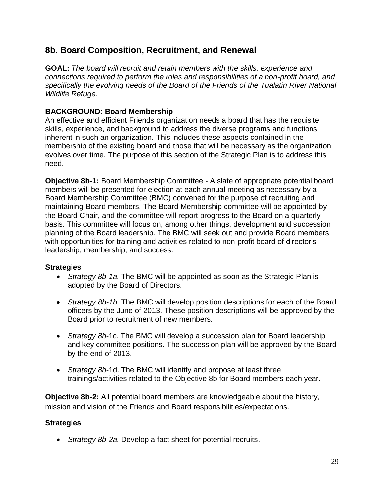# **8b. Board Composition, Recruitment, and Renewal**

**GOAL:** *The board will recruit and retain members with the skills, experience and connections required to perform the roles and responsibilities of a non-profit board, and specifically the evolving needs of the Board of the Friends of the Tualatin River National Wildlife Refuge.*

# **BACKGROUND: Board Membership**

An effective and efficient Friends organization needs a board that has the requisite skills, experience, and background to address the diverse programs and functions inherent in such an organization. This includes these aspects contained in the membership of the existing board and those that will be necessary as the organization evolves over time. The purpose of this section of the Strategic Plan is to address this need.

**Objective 8b-1:** Board Membership Committee - A slate of appropriate potential board members will be presented for election at each annual meeting as necessary by a Board Membership Committee (BMC) convened for the purpose of recruiting and maintaining Board members. The Board Membership committee will be appointed by the Board Chair, and the committee will report progress to the Board on a quarterly basis. This committee will focus on, among other things, development and succession planning of the Board leadership. The BMC will seek out and provide Board members with opportunities for training and activities related to non-profit board of director's leadership, membership, and success.

#### **Strategies**

- *Strategy 8b-1a.* The BMC will be appointed as soon as the Strategic Plan is adopted by the Board of Directors.
- *Strategy 8b-1b.* The BMC will develop position descriptions for each of the Board officers by the June of 2013. These position descriptions will be approved by the Board prior to recruitment of new members.
- *Strategy 8b-*1c. The BMC will develop a succession plan for Board leadership and key committee positions. The succession plan will be approved by the Board by the end of 2013.
- *Strategy 8b-*1d. The BMC will identify and propose at least three trainings/activities related to the Objective 8b for Board members each year.

**Objective 8b-2:** All potential board members are knowledgeable about the history, mission and vision of the Friends and Board responsibilities/expectations.

# **Strategies**

*Strategy 8b-2a.* Develop a fact sheet for potential recruits.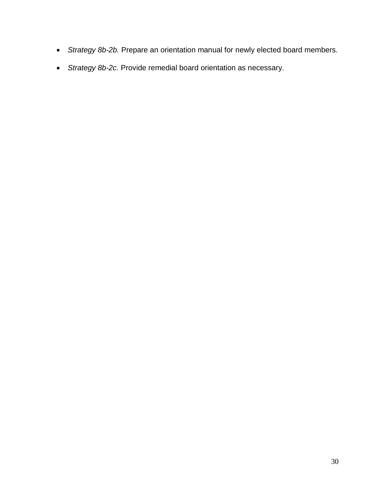- *Strategy 8b-2b.* Prepare an orientation manual for newly elected board members.
- *Strategy 8b-2c.* Provide remedial board orientation as necessary.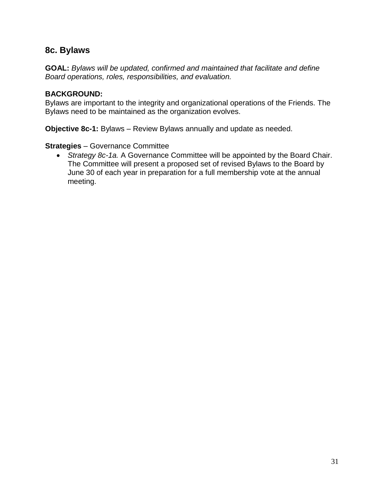# **8c. Bylaws**

**GOAL:** *Bylaws will be updated, confirmed and maintained that facilitate and define Board operations, roles, responsibilities, and evaluation.*

#### **BACKGROUND:**

Bylaws are important to the integrity and organizational operations of the Friends. The Bylaws need to be maintained as the organization evolves.

**Objective 8c-1:** Bylaws – Review Bylaws annually and update as needed.

#### **Strategies** – Governance Committee

 *Strategy 8c-1a.* A Governance Committee will be appointed by the Board Chair. The Committee will present a proposed set of revised Bylaws to the Board by June 30 of each year in preparation for a full membership vote at the annual meeting.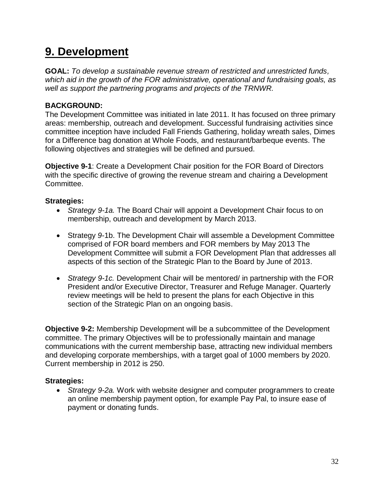# **9. Development**

**GOAL:** *To develop a sustainable revenue stream of restricted and unrestricted funds, which aid in the growth of the FOR administrative, operational and fundraising goals, as well as support the partnering programs and projects of the TRNWR.*

### **BACKGROUND:**

The Development Committee was initiated in late 2011. It has focused on three primary areas: membership, outreach and development. Successful fundraising activities since committee inception have included Fall Friends Gathering, holiday wreath sales, Dimes for a Difference bag donation at Whole Foods, and restaurant/barbeque events. The following objectives and strategies will be defined and pursued.

**Objective 9-1**: Create a Development Chair position for the FOR Board of Directors with the specific directive of growing the revenue stream and chairing a Development Committee.

#### **Strategies:**

- *Strategy 9-1a.* The Board Chair will appoint a Development Chair focus to on membership, outreach and development by March 2013.
- Strategy *9-*1b. The Development Chair will assemble a Development Committee comprised of FOR board members and FOR members by May 2013 The Development Committee will submit a FOR Development Plan that addresses all aspects of this section of the Strategic Plan to the Board by June of 2013.
- *Strategy 9-1c.* Development Chair will be mentored/ in partnership with the FOR President and/or Executive Director, Treasurer and Refuge Manager. Quarterly review meetings will be held to present the plans for each Objective in this section of the Strategic Plan on an ongoing basis.

**Objective 9-2:** Membership Development will be a subcommittee of the Development committee. The primary Objectives will be to professionally maintain and manage communications with the current membership base, attracting new individual members and developing corporate memberships, with a target goal of 1000 members by 2020. Current membership in 2012 is 250.

#### **Strategies:**

 *Strategy 9-2a.* Work with website designer and computer programmers to create an online membership payment option, for example Pay Pal, to insure ease of payment or donating funds.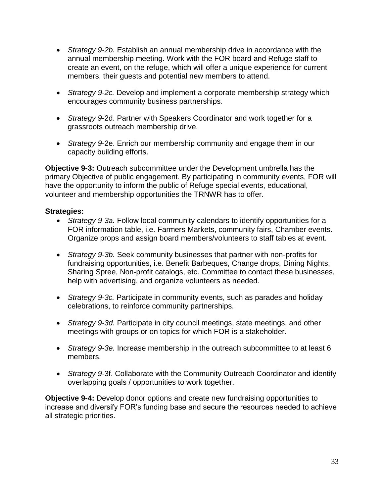- *Strategy 9-2b.* Establish an annual membership drive in accordance with the annual membership meeting. Work with the FOR board and Refuge staff to create an event, on the refuge, which will offer a unique experience for current members, their guests and potential new members to attend.
- *Strategy 9-2c.* Develop and implement a corporate membership strategy which encourages community business partnerships.
- *Strategy 9*-2d. Partner with Speakers Coordinator and work together for a grassroots outreach membership drive.
- *Strategy 9*-2e. Enrich our membership community and engage them in our capacity building efforts.

**Objective 9-3:** Outreach subcommittee under the Development umbrella has the primary Objective of public engagement. By participating in community events, FOR will have the opportunity to inform the public of Refuge special events, educational, volunteer and membership opportunities the TRNWR has to offer.

#### **Strategies:**

- *Strategy 9-3a.* Follow local community calendars to identify opportunities for a FOR information table, i.e. Farmers Markets, community fairs, Chamber events. Organize props and assign board members/volunteers to staff tables at event.
- *Strategy 9-3b.* Seek community businesses that partner with non-profits for fundraising opportunities, i.e. Benefit Barbeques, Change drops, Dining Nights, Sharing Spree, Non-profit catalogs, etc. Committee to contact these businesses, help with advertising, and organize volunteers as needed.
- *Strategy 9-3c.* Participate in community events, such as parades and holiday celebrations, to reinforce community partnerships.
- *Strategy 9-3d.* Participate in city council meetings, state meetings, and other meetings with groups or on topics for which FOR is a stakeholder.
- *Strategy 9-3e.* Increase membership in the outreach subcommittee to at least 6 members.
- *Strategy 9-*3f. Collaborate with the Community Outreach Coordinator and identify overlapping goals / opportunities to work together.

**Objective 9-4:** Develop donor options and create new fundraising opportunities to increase and diversify FOR's funding base and secure the resources needed to achieve all strategic priorities.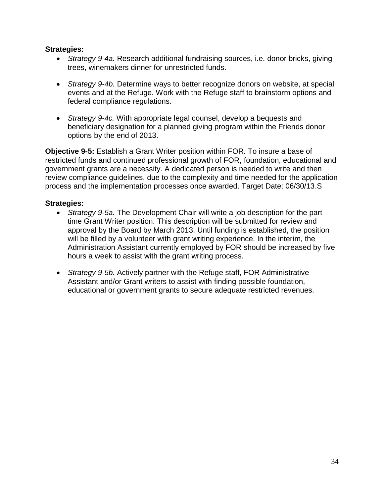#### **Strategies:**

- *Strategy 9-4a.* Research additional fundraising sources, i.e. donor bricks, giving trees, winemakers dinner for unrestricted funds.
- *Strategy 9-4b.* Determine ways to better recognize donors on website, at special events and at the Refuge. Work with the Refuge staff to brainstorm options and federal compliance regulations.
- *Strategy 9-4c.* With appropriate legal counsel, develop a bequests and beneficiary designation for a planned giving program within the Friends donor options by the end of 2013.

**Objective 9-5:** Establish a Grant Writer position within FOR. To insure a base of restricted funds and continued professional growth of FOR, foundation, educational and government grants are a necessity. A dedicated person is needed to write and then review compliance guidelines, due to the complexity and time needed for the application process and the implementation processes once awarded. Target Date: 06/30/13.S

- *Strategy 9-5a.* The Development Chair will write a job description for the part time Grant Writer position. This description will be submitted for review and approval by the Board by March 2013. Until funding is established, the position will be filled by a volunteer with grant writing experience. In the interim, the Administration Assistant currently employed by FOR should be increased by five hours a week to assist with the grant writing process.
- *Strategy 9-5b.* Actively partner with the Refuge staff, FOR Administrative Assistant and/or Grant writers to assist with finding possible foundation, educational or government grants to secure adequate restricted revenues.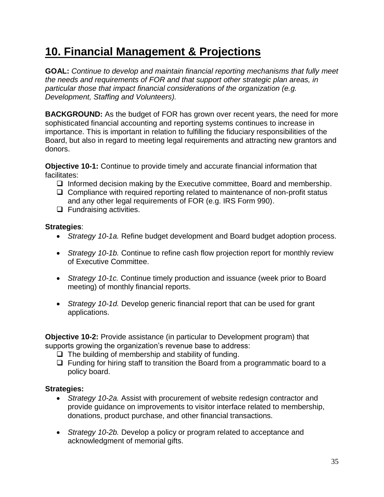# **10. Financial Management & Projections**

**GOAL:** *Continue to develop and maintain financial reporting mechanisms that fully meet the needs and requirements of FOR and that support other strategic plan areas, in particular those that impact financial considerations of the organization (e.g. Development, Staffing and Volunteers).*

**BACKGROUND:** As the budget of FOR has grown over recent years, the need for more sophisticated financial accounting and reporting systems continues to increase in importance. This is important in relation to fulfilling the fiduciary responsibilities of the Board, but also in regard to meeting legal requirements and attracting new grantors and donors.

**Objective 10-1:** Continue to provide timely and accurate financial information that facilitates:

- $\Box$  Informed decision making by the Executive committee, Board and membership.
- $\Box$  Compliance with required reporting related to maintenance of non-profit status and any other legal requirements of FOR (e.g. IRS Form 990).
- $\Box$  Fundraising activities.

#### **Strategies**:

- *Strategy 10-1a.* Refine budget development and Board budget adoption process.
- *Strategy 10-1b.* Continue to refine cash flow projection report for monthly review of Executive Committee.
- *Strategy 10-1c.* Continue timely production and issuance (week prior to Board meeting) of monthly financial reports.
- *Strategy 10-1d.* Develop generic financial report that can be used for grant applications.

**Objective 10-2:** Provide assistance (in particular to Development program) that supports growing the organization's revenue base to address:

- $\Box$  The building of membership and stability of funding.
- $\Box$  Funding for hiring staff to transition the Board from a programmatic board to a policy board.

- *Strategy 10-2a.* Assist with procurement of website redesign contractor and provide guidance on improvements to visitor interface related to membership, donations, product purchase, and other financial transactions.
- *Strategy 10-2b.* Develop a policy or program related to acceptance and acknowledgment of memorial gifts.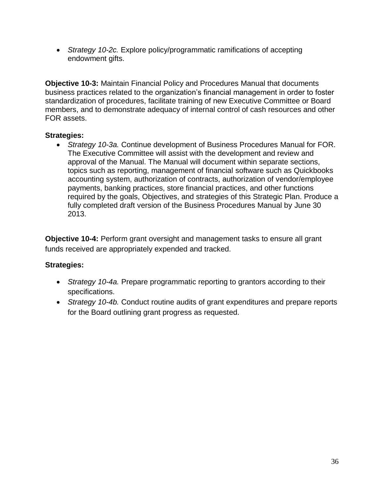*Strategy 10-2c.* Explore policy/programmatic ramifications of accepting endowment gifts.

**Objective 10-3:** Maintain Financial Policy and Procedures Manual that documents business practices related to the organization's financial management in order to foster standardization of procedures, facilitate training of new Executive Committee or Board members, and to demonstrate adequacy of internal control of cash resources and other FOR assets.

### **Strategies:**

 *Strategy 10-3a.* Continue development of Business Procedures Manual for FOR. The Executive Committee will assist with the development and review and approval of the Manual. The Manual will document within separate sections, topics such as reporting, management of financial software such as Quickbooks accounting system, authorization of contracts, authorization of vendor/employee payments, banking practices, store financial practices, and other functions required by the goals, Objectives, and strategies of this Strategic Plan. Produce a fully completed draft version of the Business Procedures Manual by June 30 2013.

**Objective 10-4:** Perform grant oversight and management tasks to ensure all grant funds received are appropriately expended and tracked.

- *Strategy 10-4a.* Prepare programmatic reporting to grantors according to their specifications.
- *Strategy 10-4b.* Conduct routine audits of grant expenditures and prepare reports for the Board outlining grant progress as requested.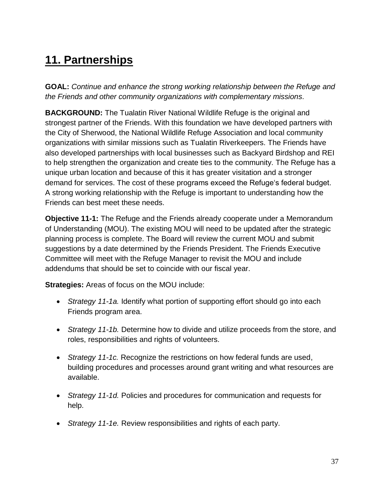# **11. Partnerships**

**GOAL:** *Continue and enhance the strong working relationship between the Refuge and the Friends and other community organizations with complementary missions.*

**BACKGROUND:** The Tualatin River National Wildlife Refuge is the original and strongest partner of the Friends. With this foundation we have developed partners with the City of Sherwood, the National Wildlife Refuge Association and local community organizations with similar missions such as Tualatin Riverkeepers. The Friends have also developed partnerships with local businesses such as Backyard Birdshop and REI to help strengthen the organization and create ties to the community. The Refuge has a unique urban location and because of this it has greater visitation and a stronger demand for services. The cost of these programs exceed the Refuge's federal budget. A strong working relationship with the Refuge is important to understanding how the Friends can best meet these needs.

**Objective 11-1:** The Refuge and the Friends already cooperate under a Memorandum of Understanding (MOU). The existing MOU will need to be updated after the strategic planning process is complete. The Board will review the current MOU and submit suggestions by a date determined by the Friends President. The Friends Executive Committee will meet with the Refuge Manager to revisit the MOU and include addendums that should be set to coincide with our fiscal year.

**Strategies:** Areas of focus on the MOU include:

- *Strategy 11-1a.* Identify what portion of supporting effort should go into each Friends program area.
- *Strategy 11-1b.* Determine how to divide and utilize proceeds from the store, and roles, responsibilities and rights of volunteers.
- *Strategy 11-1c.* Recognize the restrictions on how federal funds are used, building procedures and processes around grant writing and what resources are available.
- *Strategy 11-1d.* Policies and procedures for communication and requests for help.
- *Strategy 11-1e.* Review responsibilities and rights of each party.